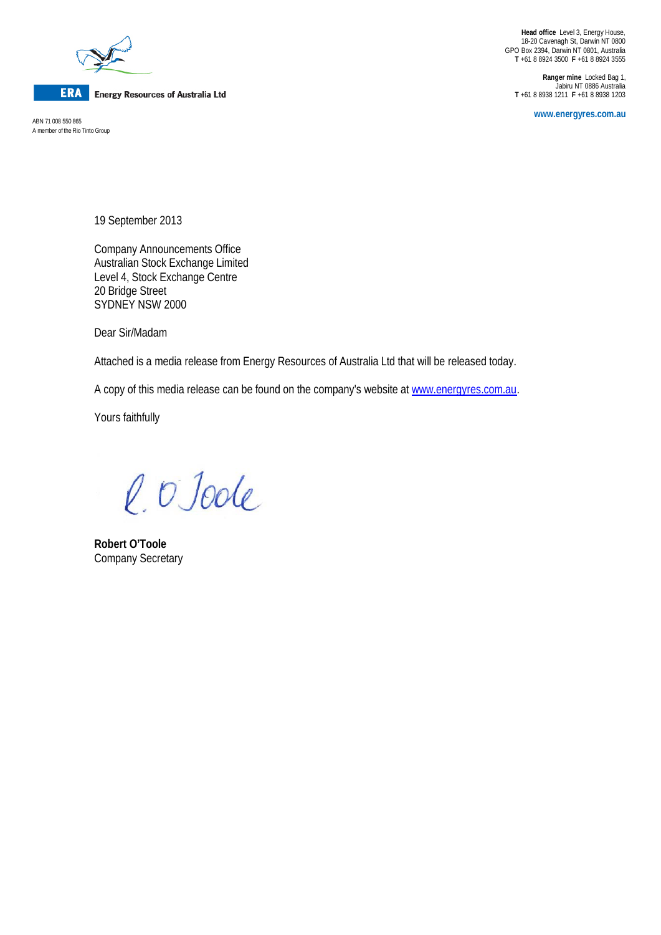

**ERA** Energy Resources of Australia Ltd

A member of the Rio Tinto Group

**Head office** Level 3, Energy House, 18-20 Cavenagh St, Darwin NT 0800 GPO Box 2394, Darwin NT 0801, Australia **T** +61 8 8924 3500 **F** +61 8 8924 3555

**Ranger mine** Locked Bag 1, Jabiru NT 0886 Australia **T** +61 8 8938 1211 **F** +61 8 8938 1203

**www.energyres.com.au** ABN 71 008 550 865

19 September 2013

Company Announcements Office Australian Stock Exchange Limited Level 4, Stock Exchange Centre 20 Bridge Street SYDNEY NSW 2000

Dear Sir/Madam

Attached is a media release from Energy Resources of Australia Ltd that will be released today.

A copy of this media release can be found on the company's website at [www.energyres.com.au.](http://www.energyres.com.au/)

Yours faithfully

l. O'Joole

**Robert O'Toole** Company Secretary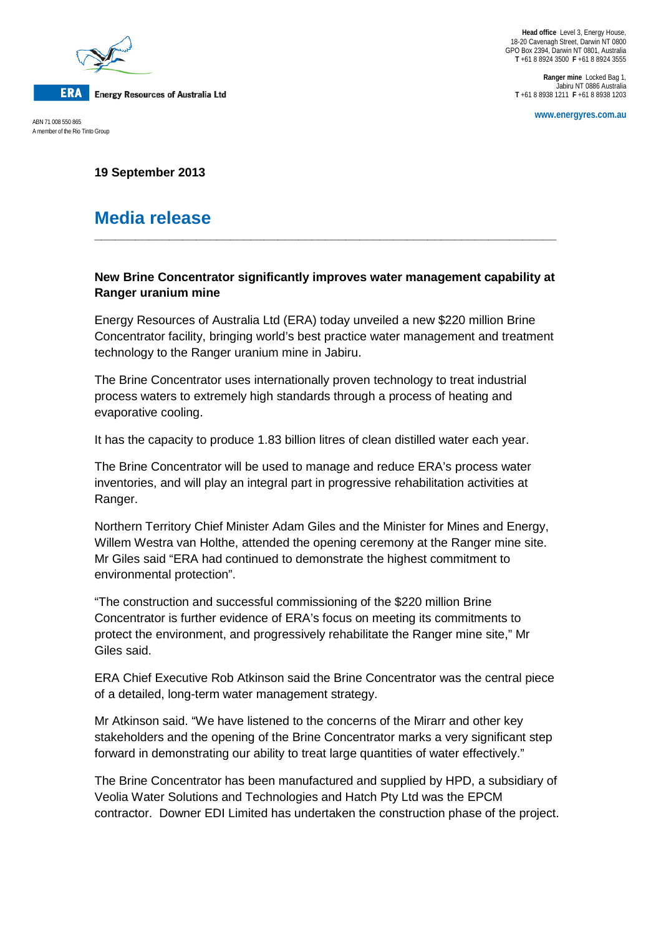

**Ranger mine** Locked Bag 1, Jabiru NT 0886 Australia **T** +61 8 8938 1211 **F** +61 8 8938 1203

**www.energyres.com.au** ABN 71 008 550 865

A member of the Rio Tinto Group

**19 September 2013**

# **Media release**

## **New Brine Concentrator significantly improves water management capability at Ranger uranium mine**

**\_\_\_\_\_\_\_\_\_\_\_\_\_\_\_\_\_\_\_\_\_\_\_\_\_\_\_\_\_\_\_\_\_\_\_\_\_\_\_\_\_\_\_\_\_\_\_\_\_\_\_\_\_\_\_\_\_\_\_\_\_\_\_\_\_\_\_\_**

Energy Resources of Australia Ltd (ERA) today unveiled a new \$220 million Brine Concentrator facility, bringing world's best practice water management and treatment technology to the Ranger uranium mine in Jabiru.

The Brine Concentrator uses internationally proven technology to treat industrial process waters to extremely high standards through a process of heating and evaporative cooling.

It has the capacity to produce 1.83 billion litres of clean distilled water each year.

The Brine Concentrator will be used to manage and reduce ERA's process water inventories, and will play an integral part in progressive rehabilitation activities at Ranger.

Northern Territory Chief Minister Adam Giles and the Minister for Mines and Energy, Willem Westra van Holthe, attended the opening ceremony at the Ranger mine site. Mr Giles said "ERA had continued to demonstrate the highest commitment to environmental protection".

"The construction and successful commissioning of the \$220 million Brine Concentrator is further evidence of ERA's focus on meeting its commitments to protect the environment, and progressively rehabilitate the Ranger mine site," Mr Giles said.

ERA Chief Executive Rob Atkinson said the Brine Concentrator was the central piece of a detailed, long-term water management strategy.

Mr Atkinson said. "We have listened to the concerns of the Mirarr and other key stakeholders and the opening of the Brine Concentrator marks a very significant step forward in demonstrating our ability to treat large quantities of water effectively."

The Brine Concentrator has been manufactured and supplied by HPD, a subsidiary of Veolia Water Solutions and Technologies and Hatch Pty Ltd was the EPCM contractor. Downer EDI Limited has undertaken the construction phase of the project.